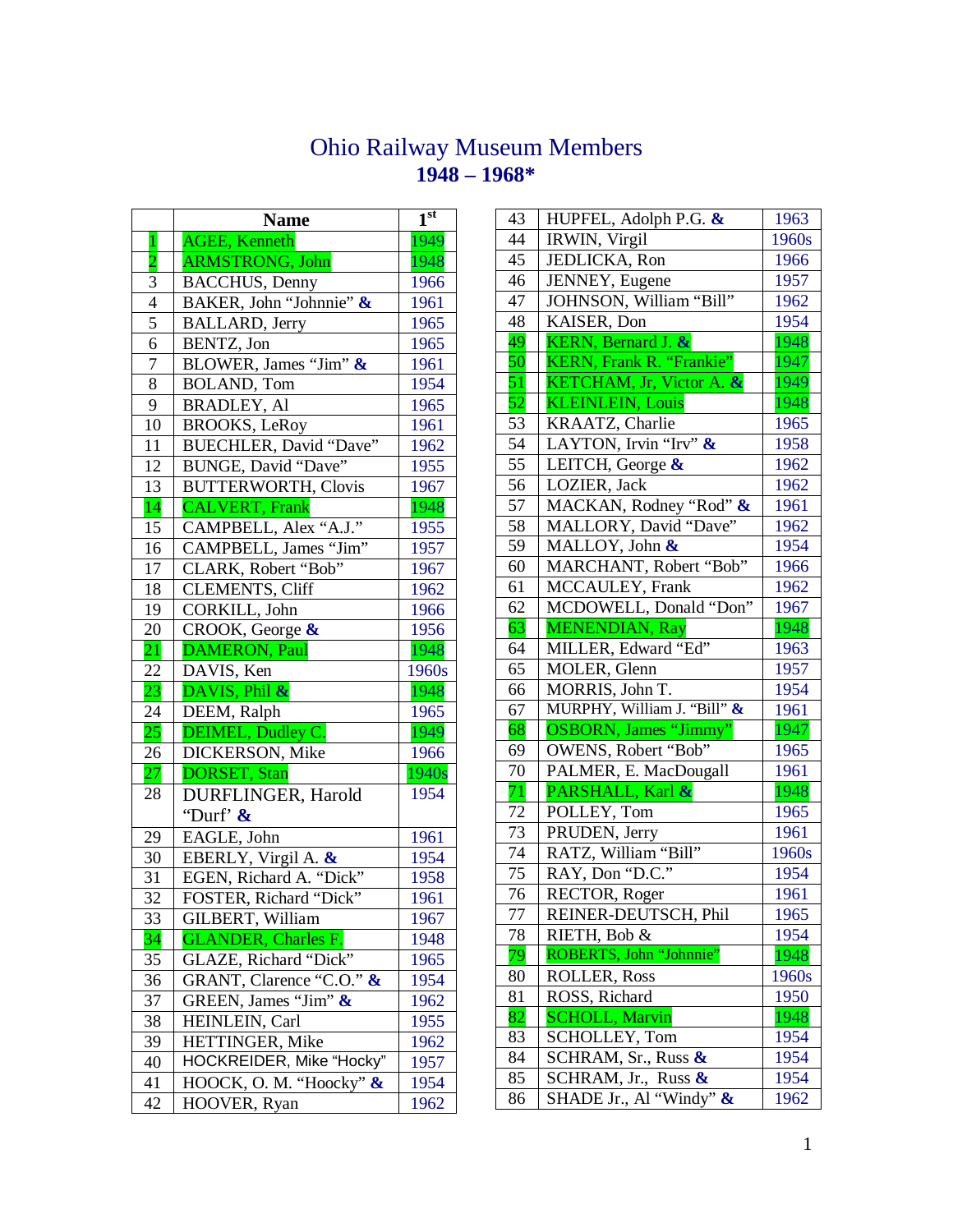## Ohio Railway Museum Members **1948 – 1968\***

|                | <b>Name</b>                 | 1 <sup>st</sup> |
|----------------|-----------------------------|-----------------|
| $\mathbf{1}$   | <b>AGEE, Kenneth</b>        | 1949            |
| $\overline{2}$ | <b>ARMSTRONG, John</b>      | 1948            |
| 3              | <b>BACCHUS</b> , Denny      | 1966            |
| $\overline{4}$ | BAKER, John "Johnnie" &     | 1961            |
| $\overline{5}$ | <b>BALLARD</b> , Jerry      | 1965            |
| $\overline{6}$ | BENTZ, Jon                  | 1965            |
| 7              | BLOWER, James "Jim" &       | 1961            |
| 8              | <b>BOLAND, Tom</b>          | 1954            |
| 9              | <b>BRADLEY, Al</b>          | 1965            |
| 10             | <b>BROOKS, LeRoy</b>        | 1961            |
| 11             | BUECHLER, David "Dave"      | 1962            |
| 12             | BUNGE, David "Dave"         | 1955            |
| 13             | <b>BUTTERWORTH, Clovis</b>  | 1967            |
| 14             | CALVERT, Frank              | 1948            |
| 15             | CAMPBELL, Alex "A.J."       | 1955            |
| 16             | CAMPBELL, James "Jim"       | 1957            |
| 17             | CLARK, Robert "Bob"         | 1967            |
| 18             | <b>CLEMENTS, Cliff</b>      | 1962            |
| 19             | CORKILL, John               | 1966            |
| 20             | CROOK, George &             | 1956            |
| 21             | <b>DAMERON, Paul</b>        | 1948            |
| 22             | DAVIS, Ken                  | 1960s           |
| 23             | DAVIS, Phil &               | 1948            |
| 24             | DEEM, Ralph                 | 1965            |
| 25             | DEIMEL, Dudley C.           | 1949            |
| 26             | DICKERSON, Mike             | 1966            |
| 27             | <b>DORSET</b> , Stan        | 1940s           |
| 28             | DURFLINGER, Harold          | 1954            |
|                | "Durf' &                    |                 |
| 29             | EAGLE, John                 | 1961            |
| 30             | EBERLY, Virgil A. &         | 1954            |
| 31             | EGEN, Richard A. "Dick"     | 1958            |
| 32             | FOSTER, Richard "Dick"      | 1961            |
| 33             | GILBERT, William            | 1967            |
| 34             | <b>GLANDER</b> , Charles F. | 1948            |
| 35             | GLAZE, Richard "Dick"       | 1965            |
| 36             | GRANT, Clarence "C.O." &    | 1954            |
| 37             | GREEN, James "Jim" &        | 1962            |
| 38             | HEINLEIN, Carl              | 1955            |
| 39             | HETTINGER, Mike             | 1962            |
| 40             | HOCKREIDER, Mike "Hocky"    | 1957            |
| 41             | HOOCK, O. M. "Hoocky" &     | 1954            |
| 42             | HOOVER, Ryan                | 1962            |
|                |                             |                 |

| 43              | HUPFEL, Adolph P.G. &                   | 1963  |
|-----------------|-----------------------------------------|-------|
| 44              | IRWIN, Virgil                           | 1960s |
| 45              | JEDLICKA, Ron                           | 1966  |
| 46              | JENNEY, Eugene                          | 1957  |
| 47              | JOHNSON, William "Bill"                 | 1962  |
| 48              | KAISER, Don                             | 1954  |
| 49              | $\overline{\text{KERN}}$ , Bernard J. & | 1948  |
| 50              | KERN, Frank R. "Frankie"                | 1947  |
| 51              | KETCHAM, Jr, Victor A. &                | 1949  |
| 52              | <b>KLEINLEIN, Louis</b>                 | 1948  |
| 53              | KRAATZ, Charlie                         | 1965  |
| 54              | LAYTON, Irvin "Irv" &                   | 1958  |
| 55              | LEITCH, George &                        | 1962  |
| 56              | LOZIER, Jack                            | 1962  |
| 57              | MACKAN, Rodney "Rod" &                  | 1961  |
| 58              | MALLORY, David "Dave"                   | 1962  |
| 59              | MALLOY, John &                          | 1954  |
| 60              | MARCHANT, Robert "Bob"                  | 1966  |
| 61              | MCCAULEY, Frank                         | 1962  |
| 62              | MCDOWELL, Donald "Don"                  | 1967  |
| 63              | <b>MENENDIAN, Ray</b>                   | 1948  |
| 64              | MILLER, Edward "Ed"                     | 1963  |
| 65              | MOLER, Glenn                            | 1957  |
| 66              | MORRIS, John T.                         | 1954  |
| 67              | MURPHY, William J. "Bill" &             | 1961  |
| 68              | <b>OSBORN</b> , James "Jimmy"           | 1947  |
| 69              | <b>OWENS, Robert "Bob"</b>              | 1965  |
| 70              | PALMER, E. MacDougall                   | 1961  |
| $\overline{71}$ | PARSHALL, Karl &                        | 1948  |
| 72              | POLLEY, Tom                             | 1965  |
| 73              | PRUDEN, Jerry                           | 1961  |
| 74              | RATZ, William "Bill"                    | 1960s |
| 75              | RAY, Don "D.C."                         | 1954  |
| $\overline{76}$ | <b>RECTOR, Roger</b>                    | 1961  |
| 77              | REINER-DEUTSCH, Phil                    | 1965  |
| 78              | RIETH, Bob &                            | 1954  |
| 79              | ROBERTS, John "Johnnie"                 | 1948  |
| 80              | <b>ROLLER, Ross</b>                     | 1960s |
| 81              | ROSS, Richard                           | 1950  |
| 82              | <b>SCHOLL, Marvin</b>                   | 1948  |
| 83              | <b>SCHOLLEY, Tom</b>                    | 1954  |
| 84              | SCHRAM, Sr., Russ &                     | 1954  |
| 85              | $\overline{SCHRAM}$ , Jr., Russ &       | 1954  |
| 86              | SHADE Jr., Al "Windy" &                 | 1962  |